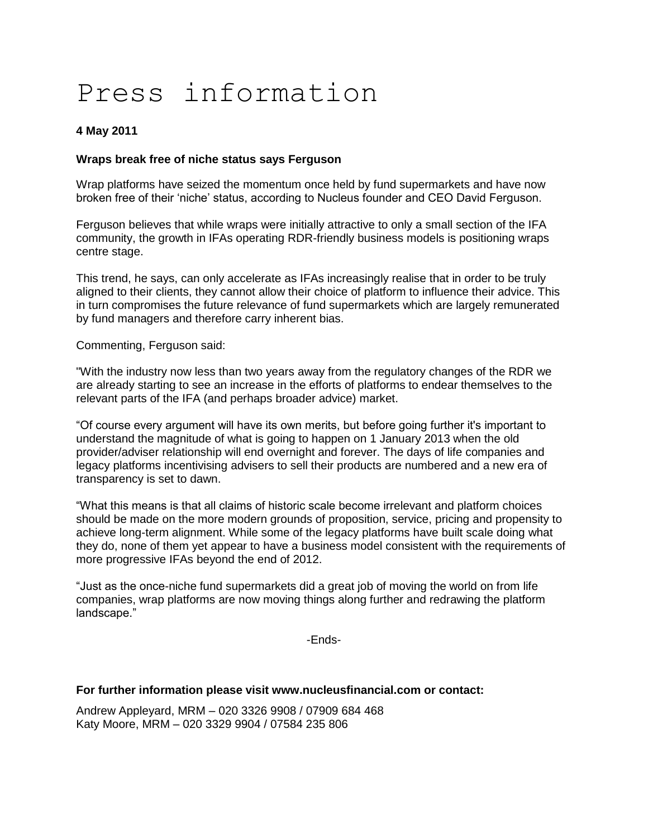# Press information

## **4 May 2011**

## **Wraps break free of niche status says Ferguson**

Wrap platforms have seized the momentum once held by fund supermarkets and have now broken free of their "niche" status, according to Nucleus founder and CEO David Ferguson.

Ferguson believes that while wraps were initially attractive to only a small section of the IFA community, the growth in IFAs operating RDR-friendly business models is positioning wraps centre stage.

This trend, he says, can only accelerate as IFAs increasingly realise that in order to be truly aligned to their clients, they cannot allow their choice of platform to influence their advice. This in turn compromises the future relevance of fund supermarkets which are largely remunerated by fund managers and therefore carry inherent bias.

Commenting, Ferguson said:

"With the industry now less than two years away from the regulatory changes of the RDR we are already starting to see an increase in the efforts of platforms to endear themselves to the relevant parts of the IFA (and perhaps broader advice) market.

"Of course every argument will have its own merits, but before going further it's important to understand the magnitude of what is going to happen on 1 January 2013 when the old provider/adviser relationship will end overnight and forever. The days of life companies and legacy platforms incentivising advisers to sell their products are numbered and a new era of transparency is set to dawn.

"What this means is that all claims of historic scale become irrelevant and platform choices should be made on the more modern grounds of proposition, service, pricing and propensity to achieve long-term alignment. While some of the legacy platforms have built scale doing what they do, none of them yet appear to have a business model consistent with the requirements of more progressive IFAs beyond the end of 2012.

"Just as the once-niche fund supermarkets did a great job of moving the world on from life companies, wrap platforms are now moving things along further and redrawing the platform landscape."

-Ends-

#### **For further information please visit www.nucleusfinancial.com or contact:**

Andrew Appleyard, MRM – 020 3326 9908 / 07909 684 468 Katy Moore, MRM – 020 3329 9904 / 07584 235 806